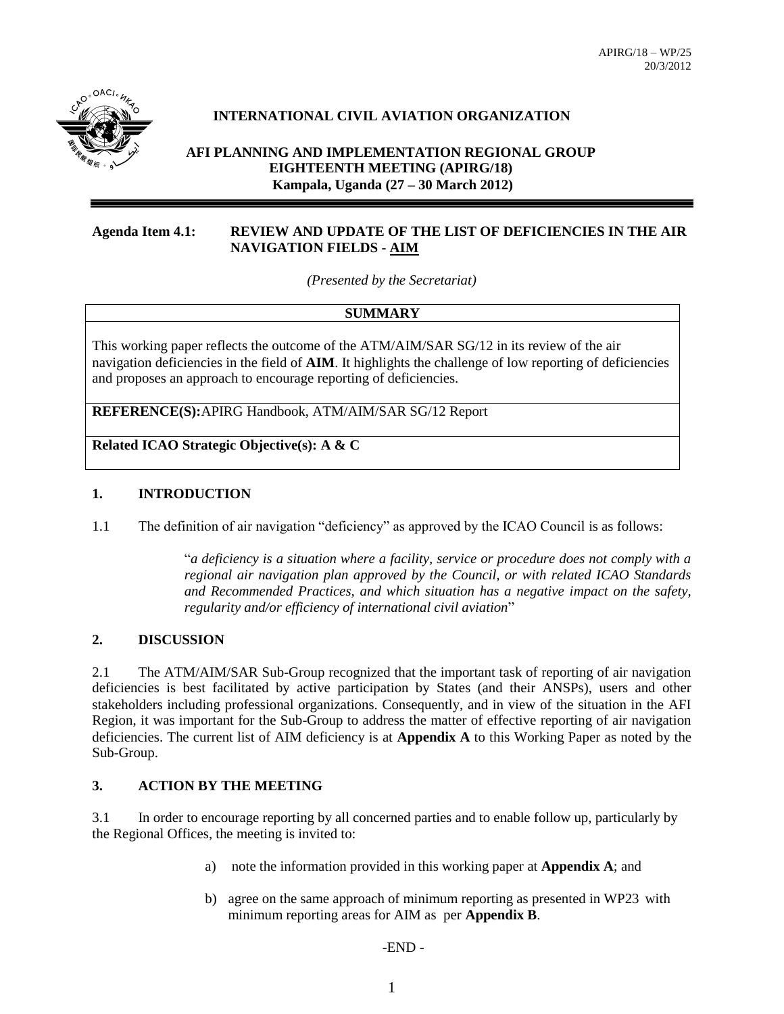

## **INTERNATIONAL CIVIL AVIATION ORGANIZATION**

**AFI PLANNING AND IMPLEMENTATION REGIONAL GROUP EIGHTEENTH MEETING (APIRG/18) Kampala, Uganda (27 – 30 March 2012)**

### **Agenda Item 4.1: REVIEW AND UPDATE OF THE LIST OF DEFICIENCIES IN THE AIR NAVIGATION FIELDS - AIM**

*(Presented by the Secretariat)*

#### **SUMMARY**

This working paper reflects the outcome of the ATM/AIM/SAR SG/12 in its review of the air navigation deficiencies in the field of **AIM**. It highlights the challenge of low reporting of deficiencies and proposes an approach to encourage reporting of deficiencies.

**REFERENCE(S):**APIRG Handbook, ATM/AIM/SAR SG/12 Report

**Related ICAO Strategic Objective(s): A & C**

#### **1. INTRODUCTION**

1.1 The definition of air navigation "deficiency" as approved by the ICAO Council is as follows:

"*a deficiency is a situation where a facility, service or procedure does not comply with a regional air navigation plan approved by the Council, or with related ICAO Standards and Recommended Practices, and which situation has a negative impact on the safety, regularity and/or efficiency of international civil aviation*"

#### **2. DISCUSSION**

2.1 The ATM/AIM/SAR Sub-Group recognized that the important task of reporting of air navigation deficiencies is best facilitated by active participation by States (and their ANSPs), users and other stakeholders including professional organizations. Consequently, and in view of the situation in the AFI Region, it was important for the Sub-Group to address the matter of effective reporting of air navigation deficiencies. The current list of AIM deficiency is at **Appendix A** to this Working Paper as noted by the Sub-Group.

### **3. ACTION BY THE MEETING**

3.1 In order to encourage reporting by all concerned parties and to enable follow up, particularly by the Regional Offices, the meeting is invited to:

- a) note the information provided in this working paper at **Appendix A**; and
- b) agree on the same approach of minimum reporting as presented in WP23 with minimum reporting areas for AIM as per **Appendix B**.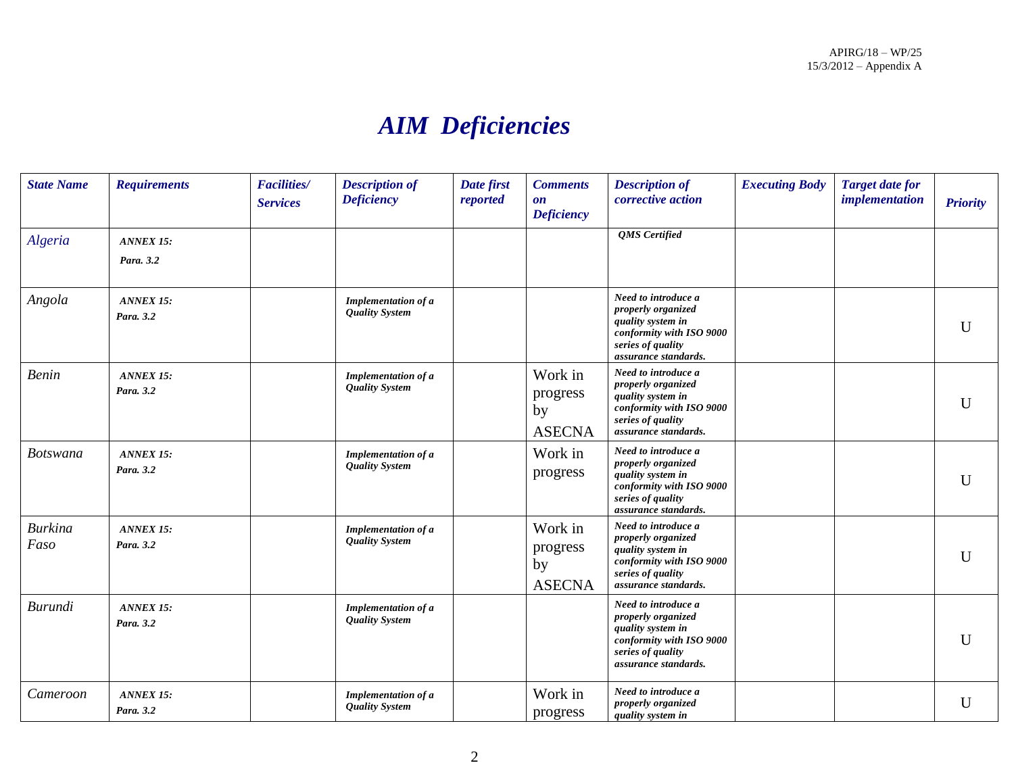# *AIM Deficiencies*

| <b>State Name</b>      | <b>Requirements</b>           | <b>Facilities/</b><br><b>Services</b> | <b>Description of</b><br><b>Deficiency</b>          | Date first<br>reported | <b>Comments</b><br>$\mathbf{0}\mathbf{n}$<br><b>Deficiency</b> | <b>Description of</b><br>corrective action                                                                                              | <b>Executing Body</b> | <b>Target date for</b><br>implementation | <b>Priority</b> |
|------------------------|-------------------------------|---------------------------------------|-----------------------------------------------------|------------------------|----------------------------------------------------------------|-----------------------------------------------------------------------------------------------------------------------------------------|-----------------------|------------------------------------------|-----------------|
| Algeria                | <b>ANNEX 15:</b><br>Para. 3.2 |                                       |                                                     |                        |                                                                | <b>QMS</b> Certified                                                                                                                    |                       |                                          |                 |
| Angola                 | <b>ANNEX 15:</b><br>Para. 3.2 |                                       | Implementation of a<br><b>Quality System</b>        |                        |                                                                | Need to introduce a<br>properly organized<br>quality system in<br>conformity with ISO 9000<br>series of quality<br>assurance standards. |                       |                                          | $\mathbf{U}$    |
| <b>Benin</b>           | <b>ANNEX 15:</b><br>Para. 3.2 |                                       | <b>Implementation of a</b><br><b>Quality System</b> |                        | Work in<br>progress<br>by<br><b>ASECNA</b>                     | Need to introduce a<br>properly organized<br>quality system in<br>conformity with ISO 9000<br>series of quality<br>assurance standards. |                       |                                          | U               |
| <b>Botswana</b>        | <b>ANNEX 15:</b><br>Para, 3.2 |                                       | <b>Implementation of a</b><br><b>Quality System</b> |                        | Work in<br>progress                                            | Need to introduce a<br>properly organized<br>quality system in<br>conformity with ISO 9000<br>series of quality<br>assurance standards. |                       |                                          | U               |
| <b>Burkina</b><br>Faso | <b>ANNEX 15:</b><br>Para, 3.2 |                                       | <b>Implementation of a</b><br><b>Quality System</b> |                        | Work in<br>progress<br>by<br><b>ASECNA</b>                     | Need to introduce a<br>properly organized<br>quality system in<br>conformity with ISO 9000<br>series of quality<br>assurance standards. |                       |                                          | $\mathbf{I}$    |
| <b>Burundi</b>         | <b>ANNEX 15:</b><br>Para. 3.2 |                                       | Implementation of a<br><b>Quality System</b>        |                        |                                                                | Need to introduce a<br>properly organized<br>quality system in<br>conformity with ISO 9000<br>series of quality<br>assurance standards. |                       |                                          | U               |
| Cameroon               | <b>ANNEX 15:</b><br>Para. 3.2 |                                       | Implementation of a<br><b>Quality System</b>        |                        | Work in<br>progress                                            | Need to introduce a<br>properly organized<br>quality system in                                                                          |                       |                                          | U               |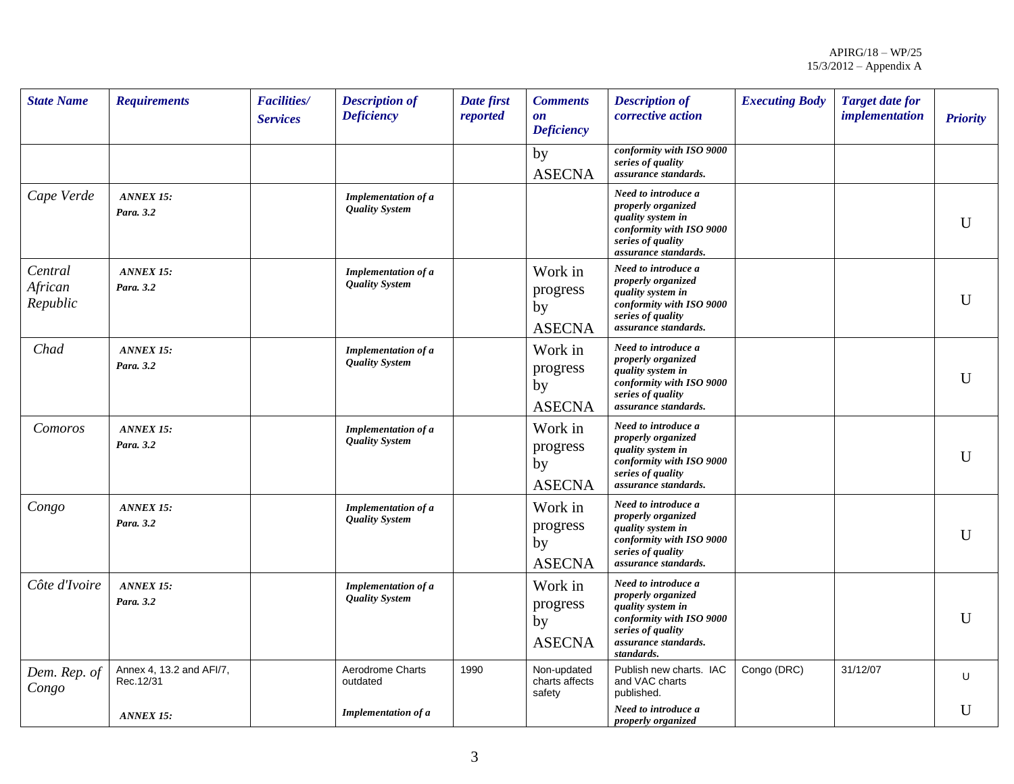| <b>State Name</b>              | <b>Requirements</b>                   | <b>Facilities/</b><br><b>Services</b> | <b>Description of</b><br><b>Deficiency</b>          | Date first<br>reported | <b>Comments</b><br>$\mathbf{0}\mathbf{n}$<br><b>Deficiency</b> | <b>Description of</b><br>corrective action                                                                                                            | <b>Executing Body</b> | <b>Target date for</b><br><i>implementation</i> | <b>Priority</b> |
|--------------------------------|---------------------------------------|---------------------------------------|-----------------------------------------------------|------------------------|----------------------------------------------------------------|-------------------------------------------------------------------------------------------------------------------------------------------------------|-----------------------|-------------------------------------------------|-----------------|
|                                |                                       |                                       |                                                     |                        | by<br><b>ASECNA</b>                                            | conformity with ISO 9000<br>series of quality<br>assurance standards.                                                                                 |                       |                                                 |                 |
| Cape Verde                     | <b>ANNEX 15:</b><br>Para. 3.2         |                                       | <b>Implementation of a</b><br><b>Quality System</b> |                        |                                                                | Need to introduce a<br>properly organized<br>quality system in<br>conformity with ISO 9000<br>series of quality<br>assurance standards.               |                       |                                                 | U               |
| Central<br>African<br>Republic | <b>ANNEX 15:</b><br>Para. 3.2         |                                       | <b>Implementation of a</b><br><b>Quality System</b> |                        | Work in<br>progress<br>by<br><b>ASECNA</b>                     | Need to introduce a<br>properly organized<br>quality system in<br>conformity with ISO 9000<br>series of quality<br>assurance standards.               |                       |                                                 | U               |
| Chad                           | <b>ANNEX 15:</b><br>Para, 3.2         |                                       | <b>Implementation of a</b><br><b>Quality System</b> |                        | Work in<br>progress<br>by<br><b>ASECNA</b>                     | Need to introduce a<br>properly organized<br>quality system in<br>conformity with ISO 9000<br>series of quality<br>assurance standards.               |                       |                                                 | U               |
| Comoros                        | <b>ANNEX 15:</b><br>Para. 3.2         |                                       | <b>Implementation of a</b><br><b>Quality System</b> |                        | Work in<br>progress<br>by<br><b>ASECNA</b>                     | Need to introduce a<br>properly organized<br>quality system in<br>conformity with ISO 9000<br>series of quality<br>assurance standards.               |                       |                                                 | U               |
| Congo                          | <b>ANNEX 15:</b><br>Para. 3.2         |                                       | <b>Implementation of a</b><br><b>Quality System</b> |                        | Work in<br>progress<br>by<br><b>ASECNA</b>                     | Need to introduce a<br>properly organized<br>quality system in<br>conformity with ISO 9000<br>series of quality<br>assurance standards.               |                       |                                                 | $\mathbf{U}$    |
| Côte d'Ivoire                  | <b>ANNEX 15:</b><br>Para. 3.2         |                                       | <b>Implementation of a</b><br><b>Quality System</b> |                        | Work in<br>progress<br>by<br><b>ASECNA</b>                     | Need to introduce a<br>properly organized<br>quality system in<br>conformity with ISO 9000<br>series of quality<br>assurance standards.<br>standards. |                       |                                                 | $\mathbf{U}$    |
| Dem. Rep. of<br>Congo          | Annex 4, 13.2 and AFI/7,<br>Rec.12/31 |                                       | Aerodrome Charts<br>outdated                        | 1990                   | Non-updated<br>charts affects<br>safety                        | Publish new charts. IAC<br>and VAC charts<br>published.                                                                                               | Congo (DRC)           | 31/12/07                                        | U               |
|                                | <b>ANNEX 15:</b>                      |                                       | <b>Implementation of a</b>                          |                        |                                                                | Need to introduce a<br><i>properly organized</i>                                                                                                      |                       |                                                 | U               |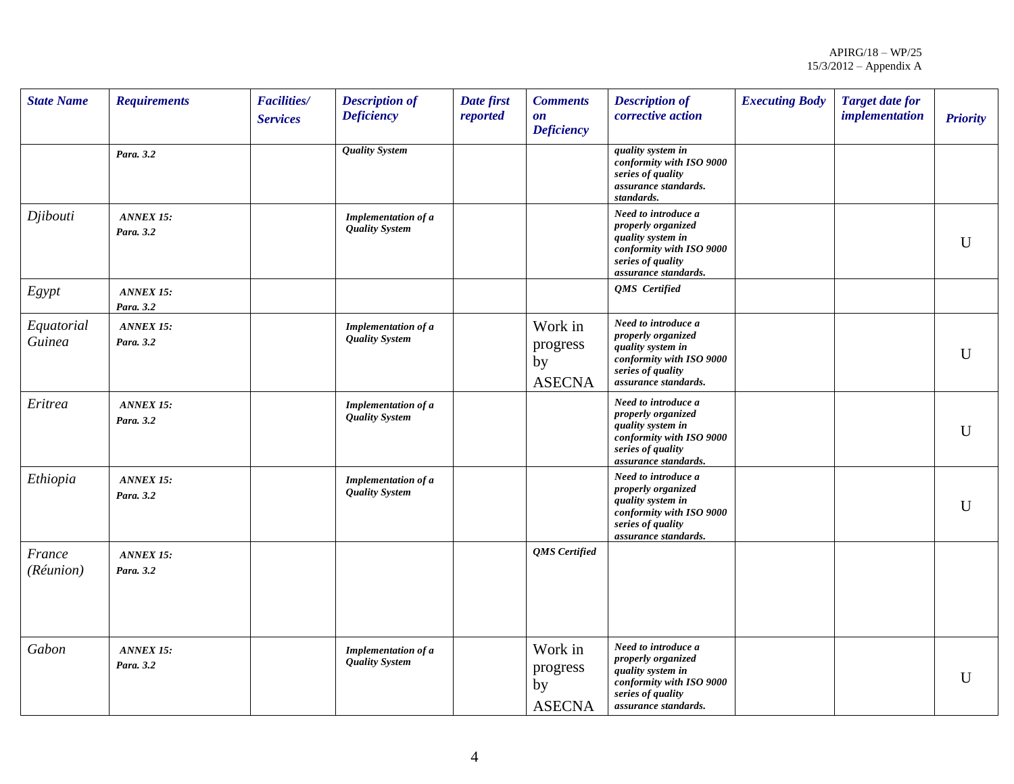| <b>State Name</b>    | <b>Requirements</b>           | <b>Facilities/</b><br><b>Services</b> | <b>Description of</b><br><b>Deficiency</b>   | Date first<br>reported | <b>Comments</b><br>$\mathbf{0}\mathbf{n}$<br><b>Deficiency</b> | <b>Description of</b><br>corrective action                                                                                              | <b>Executing Body</b> | <b>Target date for</b><br><i>implementation</i> | <b>Priority</b> |
|----------------------|-------------------------------|---------------------------------------|----------------------------------------------|------------------------|----------------------------------------------------------------|-----------------------------------------------------------------------------------------------------------------------------------------|-----------------------|-------------------------------------------------|-----------------|
|                      | Para. 3.2                     |                                       | <b>Quality System</b>                        |                        |                                                                | quality system in<br>conformity with ISO 9000<br>series of quality<br>assurance standards.<br>standards.                                |                       |                                                 |                 |
| Djibouti             | ANNEX 15:<br>Para. 3.2        |                                       | Implementation of a<br><b>Quality System</b> |                        |                                                                | Need to introduce a<br>properly organized<br>quality system in<br>conformity with ISO 9000<br>series of quality<br>assurance standards. |                       |                                                 | U               |
| Egypt                | <b>ANNEX 15:</b><br>Para. 3.2 |                                       |                                              |                        |                                                                | QMS Certified                                                                                                                           |                       |                                                 |                 |
| Equatorial<br>Guinea | <b>ANNEX 15:</b><br>Para. 3.2 |                                       | Implementation of a<br><b>Quality System</b> |                        | Work in<br>progress<br>by<br><b>ASECNA</b>                     | Need to introduce a<br>properly organized<br>quality system in<br>conformity with ISO 9000<br>series of quality<br>assurance standards. |                       |                                                 | $\mathbf U$     |
| Eritrea              | ANNEX 15:<br>Para. 3.2        |                                       | Implementation of a<br><b>Quality System</b> |                        |                                                                | Need to introduce a<br>properly organized<br>quality system in<br>conformity with ISO 9000<br>series of quality<br>assurance standards. |                       |                                                 | $\mathbf U$     |
| Ethiopia             | ANNEX 15:<br>Para. 3.2        |                                       | Implementation of a<br><b>Quality System</b> |                        |                                                                | Need to introduce a<br>properly organized<br>quality system in<br>conformity with ISO 9000<br>series of quality<br>assurance standards. |                       |                                                 | $\mathbf U$     |
| France<br>(Réunion)  | ANNEX 15:<br>Para. 3.2        |                                       |                                              |                        | QMS Certified                                                  |                                                                                                                                         |                       |                                                 |                 |
| Gabon                | ANNEX 15:<br>Para. 3.2        |                                       | Implementation of a<br><b>Quality System</b> |                        | Work in<br>progress<br>by<br><b>ASECNA</b>                     | Need to introduce a<br>properly organized<br>quality system in<br>conformity with ISO 9000<br>series of quality<br>assurance standards. |                       |                                                 | $\mathbf U$     |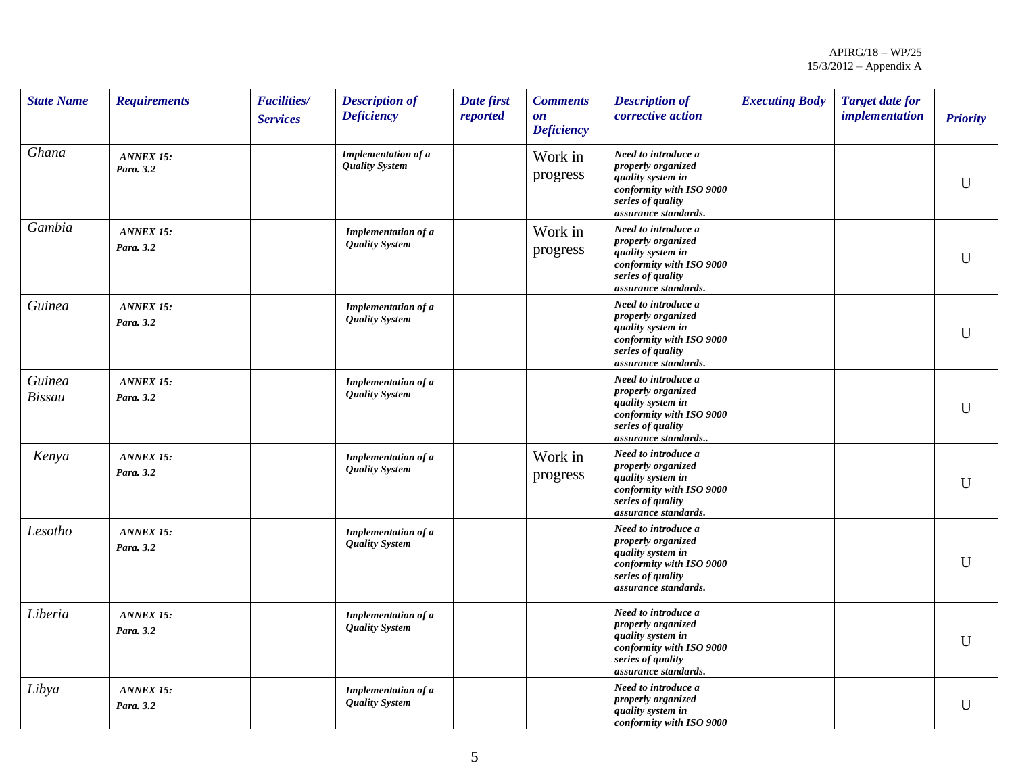| <b>State Name</b>       | <b>Requirements</b>           | <b>Facilities/</b><br><b>Services</b> | <b>Description of</b><br><b>Deficiency</b>          | Date first<br>reported | <b>Comments</b><br>$\mathbf{on}$<br><b>Deficiency</b> | <b>Description of</b><br>corrective action                                                                                              | <b>Executing Body</b> | <b>Target date for</b><br><i>implementation</i> | <b>Priority</b> |
|-------------------------|-------------------------------|---------------------------------------|-----------------------------------------------------|------------------------|-------------------------------------------------------|-----------------------------------------------------------------------------------------------------------------------------------------|-----------------------|-------------------------------------------------|-----------------|
| Ghana                   | <b>ANNEX 15:</b><br>Para. 3.2 |                                       | Implementation of a<br><b>Quality System</b>        |                        | Work in<br>progress                                   | Need to introduce a<br>properly organized<br>quality system in<br>conformity with ISO 9000<br>series of quality<br>assurance standards. |                       |                                                 | $\mathbf U$     |
| Gambia                  | <b>ANNEX 15:</b><br>Para. 3.2 |                                       | Implementation of a<br><b>Quality System</b>        |                        | Work in<br>progress                                   | Need to introduce a<br>properly organized<br>quality system in<br>conformity with ISO 9000<br>series of quality<br>assurance standards. |                       |                                                 | $\mathbf U$     |
| Guinea                  | <b>ANNEX 15:</b><br>Para. 3.2 |                                       | Implementation of a<br><b>Quality System</b>        |                        |                                                       | Need to introduce a<br>properly organized<br>quality system in<br>conformity with ISO 9000<br>series of quality<br>assurance standards. |                       |                                                 | $\mathbf{U}$    |
| Guinea<br><b>Bissau</b> | <b>ANNEX 15:</b><br>Para. 3.2 |                                       | Implementation of a<br><b>Quality System</b>        |                        |                                                       | Need to introduce a<br>properly organized<br>quality system in<br>conformity with ISO 9000<br>series of quality<br>assurance standards  |                       |                                                 | U               |
| Kenya                   | <b>ANNEX 15:</b><br>Para. 3.2 |                                       | <b>Implementation of a</b><br><b>Quality System</b> |                        | Work in<br>progress                                   | Need to introduce a<br>properly organized<br>quality system in<br>conformity with ISO 9000<br>series of quality<br>assurance standards. |                       |                                                 | $\mathbf U$     |
| Lesotho                 | <b>ANNEX 15:</b><br>Para. 3.2 |                                       | <b>Implementation of a</b><br><b>Quality System</b> |                        |                                                       | Need to introduce a<br>properly organized<br>quality system in<br>conformity with ISO 9000<br>series of quality<br>assurance standards. |                       |                                                 | $\mathbf U$     |
| Liberia                 | <b>ANNEX 15:</b><br>Para. 3.2 |                                       | <b>Implementation of a</b><br><b>Quality System</b> |                        |                                                       | Need to introduce a<br>properly organized<br>quality system in<br>conformity with ISO 9000<br>series of quality<br>assurance standards. |                       |                                                 | $\mathbf U$     |
| Libya                   | <b>ANNEX 15:</b><br>Para. 3.2 |                                       | Implementation of a<br><b>Quality System</b>        |                        |                                                       | Need to introduce a<br>properly organized<br>quality system in<br>conformity with ISO 9000                                              |                       |                                                 | $\mathbf U$     |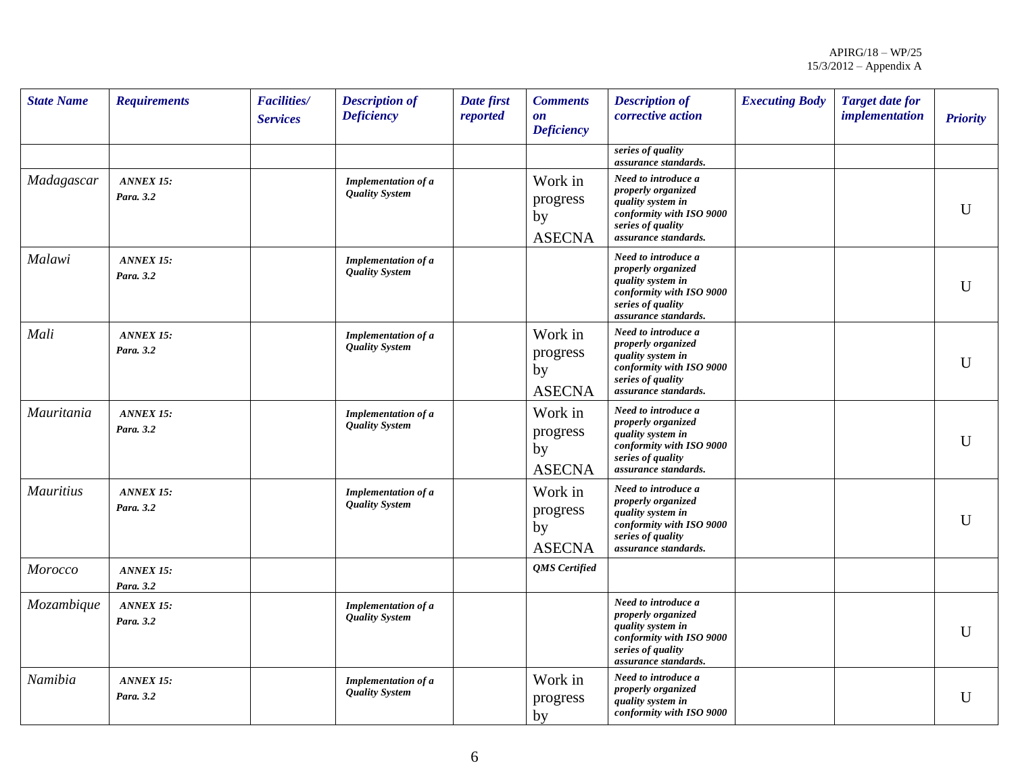| <b>State Name</b> | <b>Requirements</b>           | <b>Facilities/</b><br><b>Services</b> | <b>Description of</b><br><b>Deficiency</b>          | Date first<br>reported | <b>Comments</b><br>$\mathbf{0}\mathbf{n}$<br><b>Deficiency</b> | <b>Description of</b><br>corrective action                                                                                              | <b>Executing Body</b> | <b>Target date for</b><br><i>implementation</i> | <b>Priority</b> |
|-------------------|-------------------------------|---------------------------------------|-----------------------------------------------------|------------------------|----------------------------------------------------------------|-----------------------------------------------------------------------------------------------------------------------------------------|-----------------------|-------------------------------------------------|-----------------|
|                   |                               |                                       |                                                     |                        |                                                                | series of quality<br>assurance standards.                                                                                               |                       |                                                 |                 |
| Madagascar        | <b>ANNEX 15:</b><br>Para, 3.2 |                                       | <b>Implementation of a</b><br><b>Quality System</b> |                        | Work in<br>progress<br>by<br><b>ASECNA</b>                     | Need to introduce a<br>properly organized<br>quality system in<br>conformity with ISO 9000<br>series of quality<br>assurance standards. |                       |                                                 | $\mathbf U$     |
| Malawi            | ANNEX 15:<br>Para. 3.2        |                                       | <b>Implementation of a</b><br><b>Quality System</b> |                        |                                                                | Need to introduce a<br>properly organized<br>quality system in<br>conformity with ISO 9000<br>series of quality<br>assurance standards. |                       |                                                 | $\mathbf U$     |
| Mali              | <b>ANNEX 15:</b><br>Para, 3.2 |                                       | Implementation of a<br><b>Quality System</b>        |                        | Work in<br>progress<br>by<br><b>ASECNA</b>                     | Need to introduce a<br>properly organized<br>quality system in<br>conformity with ISO 9000<br>series of quality<br>assurance standards. |                       |                                                 | $\mathbf{U}$    |
| Mauritania        | <b>ANNEX 15:</b><br>Para. 3.2 |                                       | <b>Implementation of a</b><br><b>Quality System</b> |                        | Work in<br>progress<br>by<br><b>ASECNA</b>                     | Need to introduce a<br>properly organized<br>quality system in<br>conformity with ISO 9000<br>series of quality<br>assurance standards. |                       |                                                 | U               |
| <b>Mauritius</b>  | <b>ANNEX 15:</b><br>Para. 3.2 |                                       | <b>Implementation of a</b><br><b>Quality System</b> |                        | Work in<br>progress<br>by<br><b>ASECNA</b>                     | Need to introduce a<br>properly organized<br>quality system in<br>conformity with ISO 9000<br>series of quality<br>assurance standards. |                       |                                                 | $\mathbf{U}$    |
| Morocco           | ANNEX 15:<br>Para. 3.2        |                                       |                                                     |                        | QMS Certified                                                  |                                                                                                                                         |                       |                                                 |                 |
| Mozambique        | <b>ANNEX 15:</b><br>Para. 3.2 |                                       | Implementation of a<br><b>Quality System</b>        |                        |                                                                | Need to introduce a<br>properly organized<br>quality system in<br>conformity with ISO 9000<br>series of quality<br>assurance standards. |                       |                                                 | $\mathbf{U}$    |
| Namibia           | <b>ANNEX 15:</b><br>Para. 3.2 |                                       | <b>Implementation of a</b><br><b>Quality System</b> |                        | Work in<br>progress<br>by                                      | Need to introduce a<br>properly organized<br>quality system in<br>conformity with ISO 9000                                              |                       |                                                 | U               |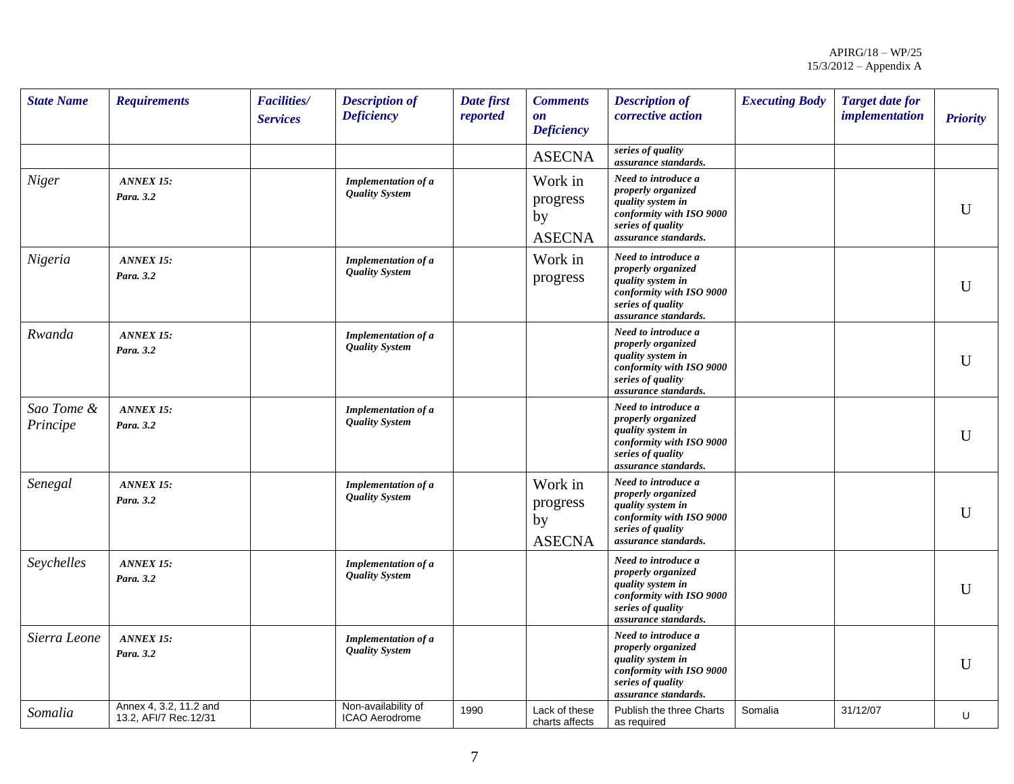| <b>State Name</b>      | <b>Requirements</b>                             | <b>Facilities/</b><br><b>Services</b> | <b>Description of</b><br><b>Deficiency</b>          | Date first<br>reported | <b>Comments</b><br>$\mathbf{on}$<br><b>Deficiency</b> | <b>Description of</b><br>corrective action                                                                                              | <b>Executing Body</b> | <b>Target date for</b><br><i>implementation</i> | <b>Priority</b> |
|------------------------|-------------------------------------------------|---------------------------------------|-----------------------------------------------------|------------------------|-------------------------------------------------------|-----------------------------------------------------------------------------------------------------------------------------------------|-----------------------|-------------------------------------------------|-----------------|
|                        |                                                 |                                       |                                                     |                        | <b>ASECNA</b>                                         | series of quality<br>assurance standards.                                                                                               |                       |                                                 |                 |
| Niger                  | <b>ANNEX 15:</b><br>Para. 3.2                   |                                       | Implementation of a<br><b>Quality System</b>        |                        | Work in<br>progress<br>by<br><b>ASECNA</b>            | Need to introduce a<br>properly organized<br>quality system in<br>conformity with ISO 9000<br>series of quality<br>assurance standards. |                       |                                                 | $\mathbf U$     |
| Nigeria                | <b>ANNEX 15:</b><br>Para. 3.2                   |                                       | <b>Implementation of a</b><br><b>Quality System</b> |                        | Work in<br>progress                                   | Need to introduce a<br>properly organized<br>quality system in<br>conformity with ISO 9000<br>series of quality<br>assurance standards. |                       |                                                 | $\mathbf U$     |
| Rwanda                 | <b>ANNEX 15:</b><br>Para. 3.2                   |                                       | Implementation of a<br><b>Quality System</b>        |                        |                                                       | Need to introduce a<br>properly organized<br>quality system in<br>conformity with ISO 9000<br>series of quality<br>assurance standards. |                       |                                                 | $\mathbf U$     |
| Sao Tome &<br>Principe | <b>ANNEX 15:</b><br>Para. 3.2                   |                                       | <b>Implementation of a</b><br><b>Quality System</b> |                        |                                                       | Need to introduce a<br>properly organized<br>quality system in<br>conformity with ISO 9000<br>series of quality<br>assurance standards. |                       |                                                 | $\mathbf U$     |
| Senegal                | <b>ANNEX 15:</b><br>Para. 3.2                   |                                       | <b>Implementation of a</b><br><b>Quality System</b> |                        | Work in<br>progress<br>by<br><b>ASECNA</b>            | Need to introduce a<br>properly organized<br>quality system in<br>conformity with ISO 9000<br>series of quality<br>assurance standards. |                       |                                                 | $\mathbf U$     |
| Seychelles             | <b>ANNEX 15:</b><br>Para. 3.2                   |                                       | <b>Implementation of a</b><br><b>Quality System</b> |                        |                                                       | Need to introduce a<br>properly organized<br>quality system in<br>conformity with ISO 9000<br>series of quality<br>assurance standards. |                       |                                                 | U               |
| Sierra Leone           | <b>ANNEX 15:</b><br>Para. 3.2                   |                                       | <b>Implementation of a</b><br><b>Quality System</b> |                        |                                                       | Need to introduce a<br>properly organized<br>quality system in<br>conformity with ISO 9000<br>series of quality<br>assurance standards. |                       |                                                 | $\mathbf U$     |
| Somalia                | Annex 4, 3.2, 11.2 and<br>13.2, AFI/7 Rec.12/31 |                                       | Non-availability of<br><b>ICAO Aerodrome</b>        | 1990                   | Lack of these<br>charts affects                       | Publish the three Charts<br>as required                                                                                                 | Somalia               | 31/12/07                                        | U               |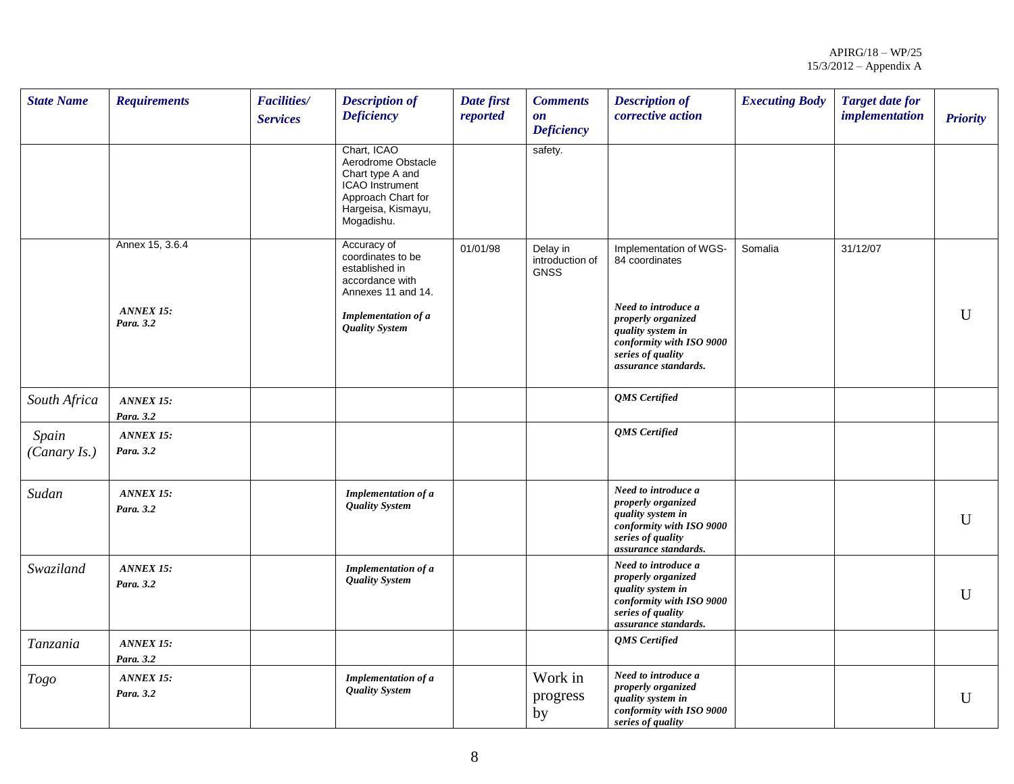| <b>State Name</b>     | <b>Requirements</b>                              | <b>Facilities/</b><br><b>Services</b> | <b>Description of</b><br><b>Deficiency</b>                                                                                                         | Date first<br>reported | <b>Comments</b><br>$\mathbf{0}\mathbf{n}$<br><b>Deficiency</b> | <b>Description of</b><br>corrective action                                                                                                                                          | <b>Executing Body</b> | <b>Target date for</b><br><i>implementation</i> | <b>Priority</b> |
|-----------------------|--------------------------------------------------|---------------------------------------|----------------------------------------------------------------------------------------------------------------------------------------------------|------------------------|----------------------------------------------------------------|-------------------------------------------------------------------------------------------------------------------------------------------------------------------------------------|-----------------------|-------------------------------------------------|-----------------|
|                       |                                                  |                                       | Chart, ICAO<br>Aerodrome Obstacle<br>Chart type A and<br>ICAO Instrument<br>Approach Chart for<br>Hargeisa, Kismayu,<br>Mogadishu.                 |                        | safety.                                                        |                                                                                                                                                                                     |                       |                                                 |                 |
|                       | Annex 15, 3.6.4<br><b>ANNEX 15:</b><br>Para. 3.2 |                                       | Accuracy of<br>coordinates to be<br>established in<br>accordance with<br>Annexes 11 and 14.<br><b>Implementation of a</b><br><b>Quality System</b> | 01/01/98               | Delay in<br>introduction of<br><b>GNSS</b>                     | Implementation of WGS-<br>84 coordinates<br>Need to introduce a<br>properly organized<br>quality system in<br>conformity with ISO 9000<br>series of quality<br>assurance standards. | Somalia               | 31/12/07                                        | $\mathbf{U}$    |
| South Africa          | <b>ANNEX 15:</b><br>Para. 3.2                    |                                       |                                                                                                                                                    |                        |                                                                | <b>OMS</b> Certified                                                                                                                                                                |                       |                                                 |                 |
| Spain<br>(Canary Is.) | <b>ANNEX 15:</b><br>Para. 3.2                    |                                       |                                                                                                                                                    |                        |                                                                | <b>QMS</b> Certified                                                                                                                                                                |                       |                                                 |                 |
| Sudan                 | <b>ANNEX 15:</b><br>Para. 3.2                    |                                       | Implementation of a<br><b>Quality System</b>                                                                                                       |                        |                                                                | Need to introduce a<br>properly organized<br>quality system in<br>conformity with ISO 9000<br>series of quality<br>assurance standards.                                             |                       |                                                 | $\mathbf{U}$    |
| Swaziland             | <b>ANNEX 15:</b><br>Para. 3.2                    |                                       | Implementation of a<br><b>Quality System</b>                                                                                                       |                        |                                                                | Need to introduce a<br>properly organized<br>quality system in<br>conformity with ISO 9000<br>series of quality<br>assurance standards.                                             |                       |                                                 | $\mathbf{U}$    |
| Tanzania              | ANNEX 15:<br>Para. 3.2                           |                                       |                                                                                                                                                    |                        |                                                                | <b>OMS</b> Certified                                                                                                                                                                |                       |                                                 |                 |
| Togo                  | ANNEX 15:<br>Para. 3.2                           |                                       | Implementation of a<br><b>Quality System</b>                                                                                                       |                        | Work in<br>progress<br>by                                      | Need to introduce a<br>properly organized<br>quality system in<br>conformity with ISO 9000<br>series of quality                                                                     |                       |                                                 | $\mathbf{U}$    |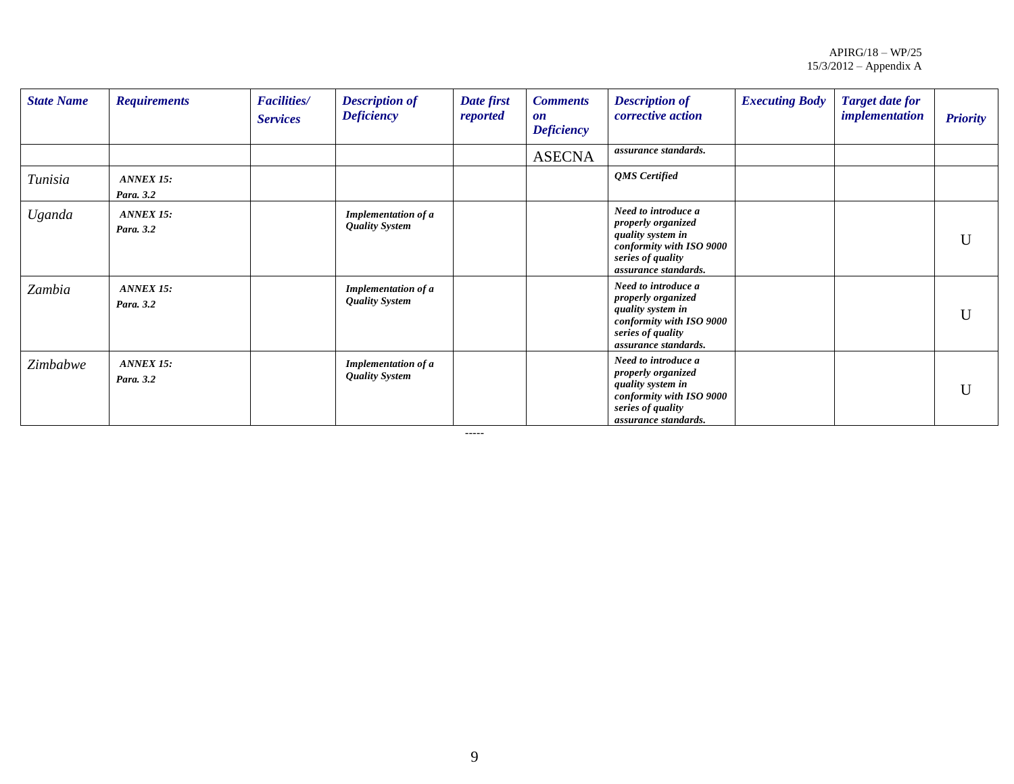| <b>State Name</b> | <b>Requirements</b>           | <b>Facilities/</b><br><b>Services</b> | <b>Description of</b><br><b>Deficiency</b>          | Date first<br>reported | <b>Comments</b><br>$\mathbf{0}n$<br><b>Deficiency</b> | <b>Description of</b><br>corrective action                                                                                              | <b>Executing Body</b> | <b>Target date for</b><br><i>implementation</i> | <b>Priority</b> |
|-------------------|-------------------------------|---------------------------------------|-----------------------------------------------------|------------------------|-------------------------------------------------------|-----------------------------------------------------------------------------------------------------------------------------------------|-----------------------|-------------------------------------------------|-----------------|
|                   |                               |                                       |                                                     |                        | <b>ASECNA</b>                                         | assurance standards.                                                                                                                    |                       |                                                 |                 |
| Tunisia           | <b>ANNEX 15:</b><br>Para. 3.2 |                                       |                                                     |                        |                                                       | <b>OMS</b> Certified                                                                                                                    |                       |                                                 |                 |
| Uganda            | <b>ANNEX 15:</b><br>Para. 3.2 |                                       | <b>Implementation of a</b><br><b>Quality System</b> |                        |                                                       | Need to introduce a<br>properly organized<br>quality system in<br>conformity with ISO 9000<br>series of quality<br>assurance standards. |                       |                                                 | U               |
| Zambia            | <b>ANNEX 15:</b><br>Para. 3.2 |                                       | Implementation of a<br><b>Quality System</b>        |                        |                                                       | Need to introduce a<br>properly organized<br>quality system in<br>conformity with ISO 9000<br>series of quality<br>assurance standards. |                       |                                                 | U               |
| Zimbabwe          | <b>ANNEX 15:</b><br>Para. 3.2 |                                       | Implementation of a<br><b>Quality System</b>        |                        |                                                       | Need to introduce a<br>properly organized<br>quality system in<br>conformity with ISO 9000<br>series of quality<br>assurance standards. |                       |                                                 | U               |

-----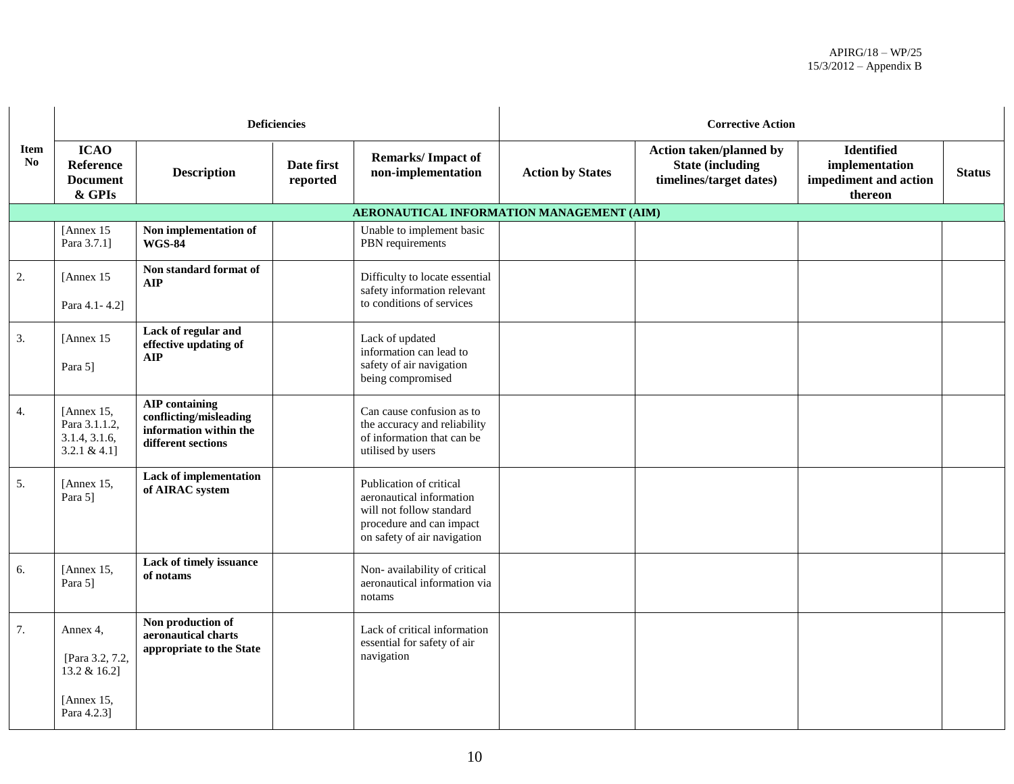|                    |                                                                          |                                                                                                 | <b>Deficiencies</b>    |                                                                                                                                            | <b>Corrective Action</b> |                                                                               |                                                                         |               |  |  |
|--------------------|--------------------------------------------------------------------------|-------------------------------------------------------------------------------------------------|------------------------|--------------------------------------------------------------------------------------------------------------------------------------------|--------------------------|-------------------------------------------------------------------------------|-------------------------------------------------------------------------|---------------|--|--|
| <b>Item</b><br>No. | <b>ICAO</b><br><b>Reference</b><br><b>Document</b><br>& GPIs             | <b>Description</b>                                                                              | Date first<br>reported | <b>Remarks/Impact of</b><br>non-implementation                                                                                             | <b>Action by States</b>  | Action taken/planned by<br><b>State (including</b><br>timelines/target dates) | <b>Identified</b><br>implementation<br>impediment and action<br>thereon | <b>Status</b> |  |  |
|                    |                                                                          |                                                                                                 |                        | AERONAUTICAL INFORMATION MANAGEMENT (AIM)                                                                                                  |                          |                                                                               |                                                                         |               |  |  |
|                    | [Annex 15]<br>Para 3.7.1]                                                | Non implementation of<br><b>WGS-84</b>                                                          |                        | Unable to implement basic<br>PBN requirements                                                                                              |                          |                                                                               |                                                                         |               |  |  |
| 2.                 | [Annex 15]<br>Para 4.1 - 4.2]                                            | Non standard format of<br><b>AIP</b>                                                            |                        | Difficulty to locate essential<br>safety information relevant<br>to conditions of services                                                 |                          |                                                                               |                                                                         |               |  |  |
| 3.                 | [Annex 15]<br>Para 5]                                                    | Lack of regular and<br>effective updating of<br><b>AIP</b>                                      |                        | Lack of updated<br>information can lead to<br>safety of air navigation<br>being compromised                                                |                          |                                                                               |                                                                         |               |  |  |
| 4.                 | [Annex $15$ ,<br>Para 3.1.1.2,<br>3.1.4, 3.1.6,<br>3.2.1 & $4.1$ ]       | <b>AIP</b> containing<br>conflicting/misleading<br>information within the<br>different sections |                        | Can cause confusion as to<br>the accuracy and reliability<br>of information that can be<br>utilised by users                               |                          |                                                                               |                                                                         |               |  |  |
| 5.                 | [Annex $15$ ,<br>Para 5]                                                 | <b>Lack of implementation</b><br>of AIRAC system                                                |                        | Publication of critical<br>aeronautical information<br>will not follow standard<br>procedure and can impact<br>on safety of air navigation |                          |                                                                               |                                                                         |               |  |  |
| 6.                 | [Annex 15,<br>Para 5]                                                    | Lack of timely issuance<br>of notams                                                            |                        | Non-availability of critical<br>aeronautical information via<br>notams                                                                     |                          |                                                                               |                                                                         |               |  |  |
| 7.                 | Annex 4.<br>[Para 3.2, 7.2,<br>13.2 & 16.2]<br>[Annex 15,<br>Para 4.2.3] | Non production of<br>aeronautical charts<br>appropriate to the State                            |                        | Lack of critical information<br>essential for safety of air<br>navigation                                                                  |                          |                                                                               |                                                                         |               |  |  |